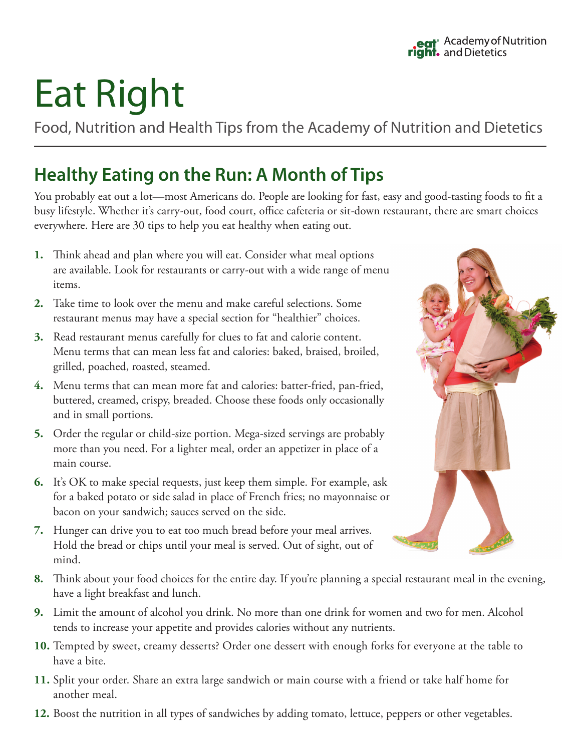## Eat Right

Food, Nutrition and Health Tips from the Academy of Nutrition and Dietetics

## **Healthy Eating on the Run: A Month of Tips**

You probably eat out a lot—most Americans do. People are looking for fast, easy and good-tasting foods to fit a busy lifestyle. Whether it's carry-out, food court, office cafeteria or sit-down restaurant, there are smart choices everywhere. Here are 30 tips to help you eat healthy when eating out.

- **1.** Think ahead and plan where you will eat. Consider what meal options are available. Look for restaurants or carry-out with a wide range of menu items.
- **2.** Take time to look over the menu and make careful selections. Some restaurant menus may have a special section for "healthier" choices.
- **3.** Read restaurant menus carefully for clues to fat and calorie content. Menu terms that can mean less fat and calories: baked, braised, broiled, grilled, poached, roasted, steamed.
- **4.** Menu terms that can mean more fat and calories: batter-fried, pan-fried, buttered, creamed, crispy, breaded. Choose these foods only occasionally and in small portions.
- **5.** Order the regular or child-size portion. Mega-sized servings are probably more than you need. For a lighter meal, order an appetizer in place of a main course.
- **6.** It's OK to make special requests, just keep them simple. For example, ask for a baked potato or side salad in place of French fries; no mayonnaise or bacon on your sandwich; sauces served on the side.
- **7.** Hunger can drive you to eat too much bread before your meal arrives. Hold the bread or chips until your meal is served. Out of sight, out of mind.
- **8.** Think about your food choices for the entire day. If you're planning a special restaurant meal in the evening, have a light breakfast and lunch.
- **9.** Limit the amount of alcohol you drink. No more than one drink for women and two for men. Alcohol tends to increase your appetite and provides calories without any nutrients.
- **10.** Tempted by sweet, creamy desserts? Order one dessert with enough forks for everyone at the table to have a bite.
- **11.** Split your order. Share an extra large sandwich or main course with a friend or take half home for another meal.
- **12.** Boost the nutrition in all types of sandwiches by adding tomato, lettuce, peppers or other vegetables.